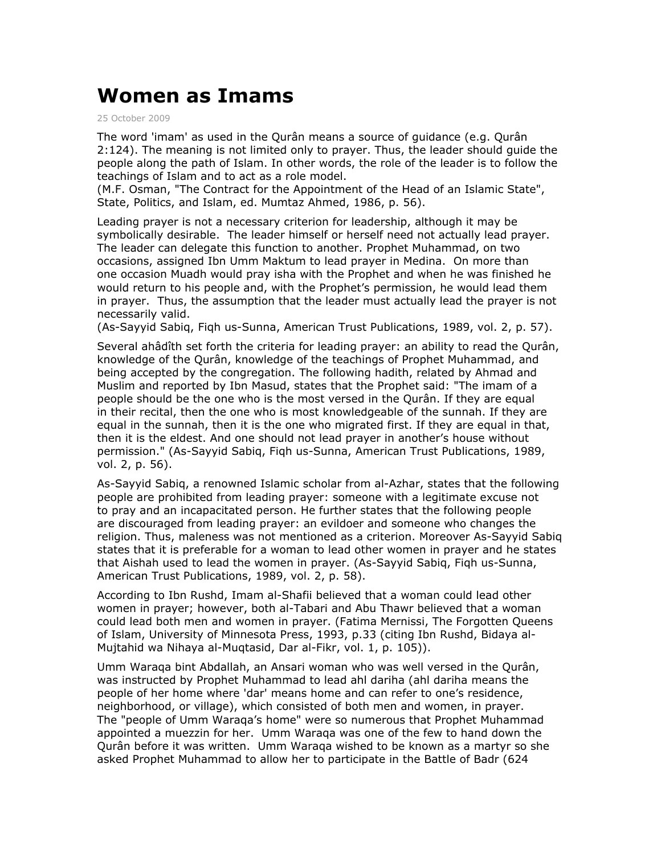## **Women as Imams**

25 October 2009

The word 'imam' as used in the Qurân means a source of guidance (e.g. Qurân 2:124). The meaning is not limited only to prayer. Thus, the leader should guide the people along the path of Islam. In other words, the role of the leader is to follow the teachings of Islam and to act as a role model.

(M.F. Osman, "The Contract for the Appointment of the Head of an Islamic State", State, Politics, and Islam, ed. Mumtaz Ahmed, 1986, p. 56).

Leading prayer is not a necessary criterion for leadership, although it may be symbolically desirable. The leader himself or herself need not actually lead prayer. The leader can delegate this function to another. Prophet Muhammad, on two occasions, assigned Ibn Umm Maktum to lead prayer in Medina. On more than one occasion Muadh would pray isha with the Prophet and when he was finished he would return to his people and, with the Prophet's permission, he would lead them in prayer. Thus, the assumption that the leader must actually lead the prayer is not necessarily valid.

(As-Sayyid Sabiq, Fiqh us-Sunna, American Trust Publications, 1989, vol. 2, p. 57).

Several ahâdîth set forth the criteria for leading prayer: an ability to read the Qurân, knowledge of the Qurân, knowledge of the teachings of Prophet Muhammad, and being accepted by the congregation. The following hadith, related by Ahmad and Muslim and reported by Ibn Masud, states that the Prophet said: "The imam of a people should be the one who is the most versed in the Qurân. If they are equal in their recital, then the one who is most knowledgeable of the sunnah. If they are equal in the sunnah, then it is the one who migrated first. If they are equal in that, then it is the eldest. And one should not lead prayer in another's house without permission." (As-Sayyid Sabiq, Fiqh us-Sunna, American Trust Publications, 1989, vol. 2, p. 56).

As-Sayyid Sabiq, a renowned Islamic scholar from al-Azhar, states that the following people are prohibited from leading prayer: someone with a legitimate excuse not to pray and an incapacitated person. He further states that the following people are discouraged from leading prayer: an evildoer and someone who changes the religion. Thus, maleness was not mentioned as a criterion. Moreover As-Sayyid Sabiq states that it is preferable for a woman to lead other women in prayer and he states that Aishah used to lead the women in prayer. (As-Sayyid Sabiq, Fiqh us-Sunna, American Trust Publications, 1989, vol. 2, p. 58).

According to Ibn Rushd, Imam al-Shafii believed that a woman could lead other women in prayer; however, both al-Tabari and Abu Thawr believed that a woman could lead both men and women in prayer. (Fatima Mernissi, The Forgotten Queens of Islam, University of Minnesota Press, 1993, p.33 (citing Ibn Rushd, Bidaya al-Mujtahid wa Nihaya al-Muqtasid, Dar al-Fikr, vol. 1, p. 105)).

Umm Waraqa bint Abdallah, an Ansari woman who was well versed in the Qurân, was instructed by Prophet Muhammad to lead ahl dariha (ahl dariha means the people of her home where 'dar' means home and can refer to one's residence, neighborhood, or village), which consisted of both men and women, in prayer. The "people of Umm Waraqa's home" were so numerous that Prophet Muhammad appointed a muezzin for her. Umm Waraqa was one of the few to hand down the Qurân before it was written. Umm Waraqa wished to be known as a martyr so she asked Prophet Muhammad to allow her to participate in the Battle of Badr (624